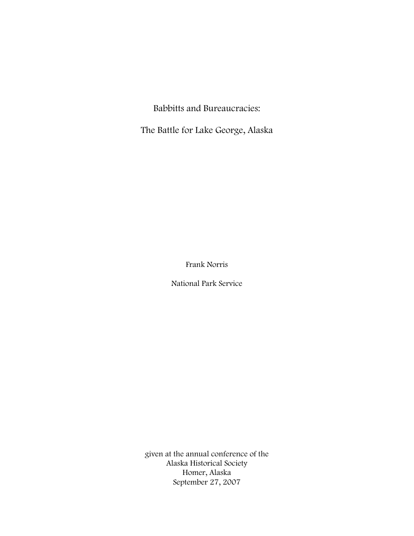Babbitts and Bureaucracies:

The Battle for Lake George, Alaska

Frank Norris

National Park Service

given at the annual conference of the Alaska Historical Society Homer, Alaska September 27, 2007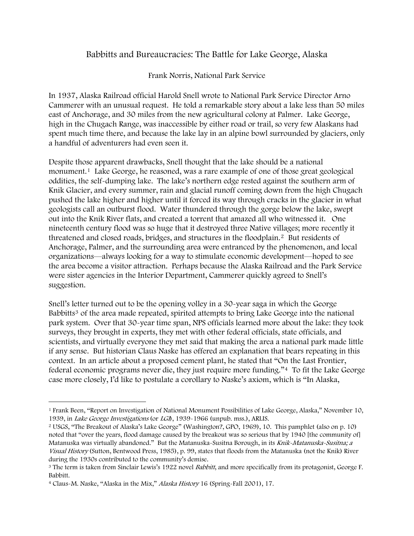## Babbitts and Bureaucracies: The Battle for Lake George, Alaska

Frank Norris, National Park Service

In 1937, Alaska Railroad official Harold Snell wrote to National Park Service Director Arno Cammerer with an unusual request. He told a remarkable story about a lake less than 50 miles east of Anchorage, and 30 miles from the new agricultural colony at Palmer. Lake George, high in the Chugach Range, was inaccessible by either road or trail, so very few Alaskans had spent much time there, and because the lake lay in an alpine bowl surrounded by glaciers, only a handful of adventurers had even seen it.

Despite those apparent drawbacks, Snell thought that the lake should be a national monument.[1](#page-1-0) Lake George, he reasoned, was a rare example of one of those great geological oddities, the self-dumping lake. The lake's northern edge rested against the southern arm of Knik Glacier, and every summer, rain and glacial runoff coming down from the high Chugach pushed the lake higher and higher until it forced its way through cracks in the glacier in what geologists call an outburst flood. Water thundered through the gorge below the lake, swept out into the Knik River flats, and created a torrent that amazed all who witnessed it. One nineteenth century flood was so huge that it destroyed three Native villages; more recently it threatened and closed roads, bridges, and structures in the floodplain.[2](#page-1-1) But residents of Anchorage, Palmer, and the surrounding area were entranced by the phenomenon, and local organizations—always looking for a way to stimulate economic development—hoped to see the area become a visitor attraction. Perhaps because the Alaska Railroad and the Park Service were sister agencies in the Interior Department, Cammerer quickly agreed to Snell's suggestion.

Snell's letter turned out to be the opening volley in a 30-year saga in which the George Babbitts<sup>[3](#page-1-2)</sup> of the area made repeated, spirited attempts to bring Lake George into the national park system. Over that 30-year time span, NPS officials learned more about the lake: they took surveys, they brought in experts, they met with other federal officials, state officials, and scientists, and virtually everyone they met said that making the area a national park made little if any sense. But historian Claus Naske has offered an explanation that bears repeating in this context. In an article about a proposed cement plant, he stated that "On the Last Frontier, federal economic programs never die, they just require more funding."[4](#page-1-3) To fit the Lake George case more closely, I'd like to postulate a corollary to Naske's axiom, which is "In Alaska,

<span id="page-1-0"></span><sup>1</sup> Frank Been, "Report on Investigation of National Monument Possibilities of Lake George, Alaska," November 10, 1939, in *Lake George Investigations* (or *LGI*), 1939-1966 (unpub. mss.), ARLIS.<br><sup>2</sup> USGS, "The Breakout of Alaska's Lake George" (Washington?, GPO, 1969), 10. This pamphlet (also on p. 10)

<span id="page-1-1"></span>noted that "over the years, flood damage caused by the breakout was so serious that by 1940 [the community of] Matanuska was virtually abandoned." But the Matanuska-Susitna Borough, in its Knik-Matanuska-Susitna; a Visual History (Sutton, Bentwood Press, 1985), p. 99, states that floods from the Matanuska (not the Knik) River during the 1930s contributed to the community's demise.

<span id="page-1-2"></span><sup>&</sup>lt;sup>3</sup> The term is taken from Sinclair Lewis's 1922 novel *Babbitt*, and more specifically from its protagonist, George F. Babbitt.

<span id="page-1-3"></span><sup>4</sup> Claus-M. Naske, "Alaska in the Mix," Alaska History 16 (Spring-Fall 2001), 17.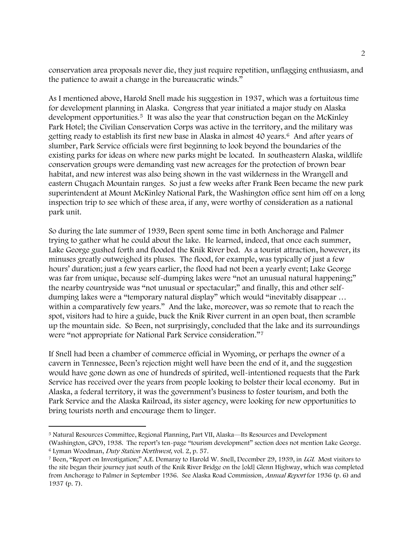conservation area proposals never die, they just require repetition, unflagging enthusiasm, and the patience to await a change in the bureaucratic winds."

inspection trip to see which of these area, if any, were worthy of consideration as a national park unit. As I mentioned above, Harold Snell made his suggestion in 1937, which was a fortuitous time for development planning in Alaska. Congress that year initiated a major study on Alaska development opportunities.<sup>[5](#page-2-0)</sup> It was also the year that construction began on the McKinley Park Hotel; the Civilian Conservation Corps was active in the territory, and the military was getting ready to establish its first new base in Alaska in almost 40 years.[6](#page-2-1) And after years of slumber, Park Service officials were first beginning to look beyond the boundaries of the existing parks for ideas on where new parks might be located. In southeastern Alaska, wildlife conservation groups were demanding vast new acreages for the protection of brown bear habitat, and new interest was also being shown in the vast wilderness in the Wrangell and eastern Chugach Mountain ranges. So just a few weeks after Frank Been became the new park superintendent at Mount McKinley National Park, the Washington office sent him off on a long

Lake George gushed forth and flooded the Knik River bed. As a tourist attraction, however, its was far from unique, because self-dumping lakes were "not an unusual natural happening;" up the mountain side. So Been, not surprisingly, concluded that the lake and its surroundings were "not appropriate for National Park Service consideration."7 So during the late summer of 1939, Been spent some time in both Anchorage and Palmer trying to gather what he could about the lake. He learned, indeed, that once each summer, minuses greatly outweighed its pluses. The flood, for example, was typically of just a few hours' duration; just a few years earlier, the flood had not been a yearly event; Lake George the nearby countryside was "not unusual or spectacular;" and finally, this and other selfdumping lakes were a "temporary natural display" which would "inevitably disappear … within a comparatively few years." And the lake, moreover, was so remote that to reach the spot, visitors had to hire a guide, buck the Knik River current in an open boat, then scramble

Service has received over the years from people looking to bolster their local economy. But in Park Service and the Alaska Railroad, its sister agency, were looking for new opportunities to bring tourists north and encourage them to linger. If Snell had been a chamber of commerce official in Wyoming, or perhaps the owner of a cavern in Tennessee, Been's rejection might well have been the end of it, and the suggestion would have gone down as one of hundreds of spirited, well-intentioned requests that the Park Alaska, a federal territory, it was the government's business to foster tourism, and both the

 $\overline{\phantom{0}}$ 

<span id="page-2-0"></span><sup>5</sup> Natural Resources Committee, Regional Planning, Part VII, Alaska—Its Resources and Development

<span id="page-2-1"></span><sup>(</sup>Washington, GPO), 1938. The report's ten-page "tourism development" section does not mention Lake George.<br><sup>6</sup> Lyman Woodman, *Duty Station Northwest*, vol. 2, p. 57.

<sup>&</sup>lt;sup>7</sup> Been, "Report on Investigation;" A.E. Demaray to Harold W. Snell, December 29, 1939, in LGI. Most visitors to the site began their journey just south of the Knik River Bridge on the [old] Glenn Highway, which was completed from Anchorage to Palmer in September 1936. See Alaska Road Commission, *Annual Report* for 1936 (p. 6) and 1937 (p. 7).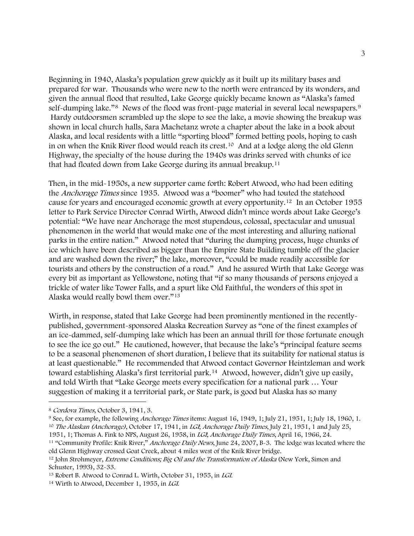Highway, the specialty of the house during the 1940s was drinks served with chunks of ice that had floated down from Lake George during its annual breakup.<sup>11</sup> Beginning in 1940, Alaska's population grew quickly as it built up its military bases and prepared for war. Thousands who were new to the north were entranced by its wonders, and given the annual flood that resulted, Lake George quickly became known as "Alaska's famed self-dumping lake."<sup>[8](#page-3-0)</sup> News of the flood was front-page material in several local newspapers.<sup>[9](#page-3-1)</sup> Hardy outdoorsmen scrambled up the slope to see the lake, a movie showing the breakup was shown in local church halls, Sara Machetanz wrote a chapter about the lake in a book about Alaska, and local residents with a little "sporting blood" formed betting pools, hoping to cash in on when the Knik River flood would reach its crest.[10](#page-3-2) And at a lodge along the old Glenn

Then, in the mid-1950s, a new supporter came forth: Robert Atwood, who had been editing ice which have been described as bigger than the Empire State Building tumble off the glacier every bit as important as Yellowstone, noting that "if so many thousands of persons enjoyed a trickle of water like Tower Falls, and a spurt like Old Faithful, the wonders of this spot in Alaska would really bowl them over."<sup>13</sup> the Anchorage Times since 1935. Atwood was a "boomer" who had touted the statehood cause for years and encouraged economic growth at every opportunity.[12](#page-3-3) In an October 1955 letter to Park Service Director Conrad Wirth, Atwood didn't mince words about Lake George's potential: "We have near Anchorage the most stupendous, colossal, spectacular and unusual phenomenon in the world that would make one of the most interesting and alluring national parks in the entire nation." Atwood noted that "during the dumping process, huge chunks of and are washed down the river;" the lake, moreover, "could be made readily accessible for tourists and others by the construction of a road." And he assured Wirth that Lake George was

at least questionable." He recommended that Atwood contact Governor Heintzleman and work toward establishing Alaska's first territorial park.<sup>[14](#page-3-4)</sup> Atwood, however, didn't give up easily, Wirth, in response, stated that Lake George had been prominently mentioned in the recentlypublished, government-sponsored Alaska Recreation Survey as "one of the finest examples of an ice-dammed, self-dumping lake which has been an annual thrill for those fortunate enough to see the ice go out." He cautioned, however, that because the lake's "principal feature seems to be a seasonal phenomenon of short duration, I believe that its suitability for national status is and told Wirth that "Lake George meets every specification for a national park … Your suggestion of making it a territorial park, or State park, is good but Alaska has so many

 $\overline{\phantom{0}}$ 

<span id="page-3-2"></span>1951, 1; Thomas A. Fink to NPS, August 26, 1958, in *LGI; Anchorage Daily Times*, April 16, 1966, 24.<br><sup>11</sup> "Community Profile: Knik River," *Anchorage Daily News*, June 24, 2007, B-3. The lodge was located where the

<span id="page-3-1"></span><span id="page-3-0"></span><sup>&</sup>lt;sup>8</sup> Cordova Times, October 3, 1941, 3.<br><sup>9</sup> See, for example, the following *Anchorage Times* items: August 16, 1949, 1; July 21, 1951, 1; July 18, 1960, 1.<br><sup>10</sup> The Alaskan (Anchorage), October 17, 1941, in *LGI*, Anchorag

old Glenn Highway crossed Goat Creek, about 4 miles west of the Knik River bridge.

<span id="page-3-3"></span><sup>&</sup>lt;sup>12</sup> John Strohmeyer, *Extreme Conditions; Big Oil and the Transformation of Alaska* (New York, Simon and Schuster, 1993), 32-33.

<span id="page-3-4"></span><sup>&</sup>lt;sup>13</sup> Robert B. Atwood to Conrad L. Wirth, October 31, 1955, in *LGI*.<br><sup>14</sup> Wirth to Atwood, December 1, 1955, in *LGI*.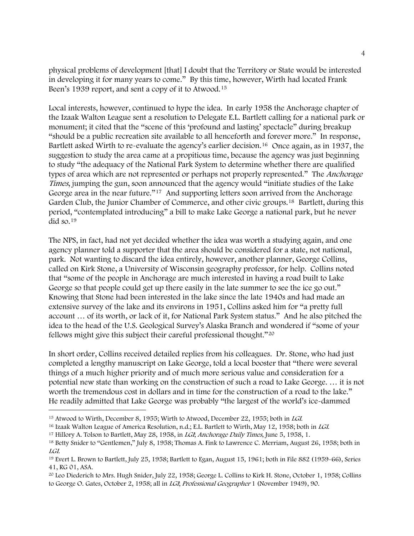physical problems of development [that] I doubt that the Territory or State would be interested in developing it for many years to come." By this time, however, Wirth had located Frank Been's 1939 report, and sent a copy of it to Atwood.<sup>15</sup>

the Izaak Walton League sent a resolution to Delegate E.L. Bartlett calling for a national park or types of area which are not represented or perhaps not properly represented." The Anchorage Garden Club, the Junior Chamber of Commerce, and other civic groups.<sup>[18](#page-4-2)</sup> Bartlett, during this period, "contemplated introducing" a bill to make Lake George a national park, but he never did so. $19$ Local interests, however, continued to hype the idea. In early 1958 the Anchorage chapter of monument; it cited that the "scene of this 'profound and lasting' spectacle" during breakup "should be a public recreation site available to all henceforth and forever more." In response, Bartlett asked Wirth to re-evaluate the agency's earlier decision.<sup>[16](#page-4-0)</sup> Once again, as in 1937, the suggestion to study the area came at a propitious time, because the agency was just beginning to study "the adequacy of the National Park System to determine whether there are qualified Times, jumping the gun, soon announced that the agency would "initiate studies of the Lake George area in the near future."<sup>[17](#page-4-1)</sup> And supporting letters soon arrived from the Anchorage

called on Kirk Stone, a University of Wisconsin geography professor, for help. Collins noted idea to the head of the U.S. Geological Survey's Alaska Branch and wondered if "some of your fellows might give this subject their careful professional thought."<sup>20</sup> The NPS, in fact, had not yet decided whether the idea was worth a studying again, and one agency planner told a supporter that the area should be considered for a state, not national, park. Not wanting to discard the idea entirely, however, another planner, George Collins, that "some of the people in Anchorage are much interested in having a road built to Lake George so that people could get up there easily in the late summer to see the ice go out." Knowing that Stone had been interested in the lake since the late 1940s and had made an extensive survey of the lake and its environs in 1951, Collins asked him for "a pretty full account … of its worth, or lack of it, for National Park System status." And he also pitched the

completed a lengthy manuscript on Lake George, told a local booster that "there were several potential new state than working on the construction of such a road to Lake George. ... it is not In short order, Collins received detailed replies from his colleagues. Dr. Stone, who had just things of a much higher priority and of much more serious value and consideration for a worth the tremendous cost in dollars and in time for the construction of a road to the lake." He readily admitted that Lake George was probably "the largest of the world's ice-dammed

<span id="page-4-2"></span><span id="page-4-1"></span>

<span id="page-4-0"></span><sup>&</sup>lt;sup>15</sup> Atwood to Wirth, December 8, 1955; Wirth to Atwood, December 22, 1955; both in *LGI*.<br><sup>16</sup> Izaak Walton League of America Resolution, n.d.; E.L. Bartlett to Wirth, May 12, 1958; both in *LGI*.<br><sup>17</sup> Hillory A. Tolson LGI. 19 Evert L. Brown to Bartlett, July 25, 1958; Bartlett to Egan, August 15, 1961; both in File 882 (1959-66), Series

<sup>41,</sup> RG 01, ASA.

<sup>20</sup> Leo Diederich to Mrs. Hugh Snider, July 22, 1958; George L. Collins to Kirk H. Stone, October 1, 1958; Collins to George O. Gates, October 2, 1958; all in LGI, Professional Geographer 1 (November 1949), 90.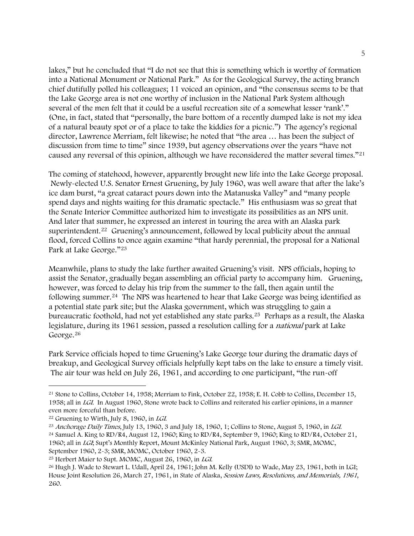chief dutifully polled his colleagues; 11 voiced an opinion, and "the consensus seems to be that caused any reversal of this opinion, although we have reconsidered the matter several times."<sup>21</sup> lakes," but he concluded that "I do not see that this is something which is worthy of formation into a National Monument or National Park." As for the Geological Survey, the acting branch the Lake George area is not one worthy of inclusion in the National Park System although several of the men felt that it could be a useful recreation site of a somewhat lesser 'rank'." (One, in fact, stated that "personally, the bare bottom of a recently dumped lake is not my idea of a natural beauty spot or of a place to take the kiddies for a picnic.") The agency's regional director, Lawrence Merriam, felt likewise; he noted that "the area … has been the subject of discussion from time to time" since 1939, but agency observations over the years "have not

Newly-elected U.S. Senator Ernest Gruening, by July 1960, was well aware that after the lake's spend days and nights waiting for this dramatic spectacle." His enthusiasm was so great that the Senate Interior Committee authorized him to investigate its possibilities as an NPS unit. flood, forced Collins to once again examine "that hardy perennial, the proposal for a National Park at Lake George."<sup>23</sup> The coming of statehood, however, apparently brought new life into the Lake George proposal. ice dam burst, "a great cataract pours down into the Matanuska Valley" and "many people And later that summer, he expressed an interest in touring the area with an Alaska park superintendent.<sup>[22](#page-5-0)</sup> Gruening's announcement, followed by local publicity about the annual

assist the Senator, gradually began assembling an official party to accompany him. Gruening, following summer.<sup>[24](#page-5-1)</sup> The NPS was heartened to hear that Lake George was being identified as bureaucratic foothold, had not yet established any state parks.<sup>[25](#page-5-2)</sup> Perhaps as a result, the Alaska legislature, during its 1961 session, passed a resolution calling for a *national* park at Lake George.<sup>26</sup> Meanwhile, plans to study the lake further awaited Gruening's visit. NPS officials, hoping to however, was forced to delay his trip from the summer to the fall, then again until the a potential state park site; but the Alaska government, which was struggling to gain a

breakup, and Geological Survey officials helpfully kept tabs on the lake to ensure a timely visit. The air tour was held on July 26, 1961, and according to one participant, "the run-off Park Service officials hoped to time Gruening's Lake George tour during the dramatic days of

<sup>21</sup> Stone to Collins, October 14, 1958; Merriam to Fink, October 22, 1958; E. H. Cobb to Collins, December 15, 1958; all in LGI. In August 1960, Stone wrote back to Collins and reiterated his earlier opinions, in a manner even more forceful than before.

<span id="page-5-0"></span><sup>&</sup>lt;sup>22</sup> Gruening to Wirth, July 8, 1960, in *LGI*.<br><sup>23</sup> Anchorage Daily Times, July 13, 1960, 3 and July 18, 1960, 1; Collins to Stone, August 5, 1960, in *LGI*.<br><sup>24</sup> Samuel A. King to RD/R4, August 12, 1960; King to RD/R4, 1960; all in LGI; Supt's Monthly Report, Mount McKinley National Park, August 1960, 3; SMR, MOMC,

<span id="page-5-1"></span>September 1960, 2-3; SMR, MOMC, October 1960, 2-3.

<span id="page-5-2"></span><sup>&</sup>lt;sup>25</sup> Herbert Maier to Supt. MOMC, August 26, 1960, in *LGI*.<br><sup>26</sup> Hugh J. Wade to Stewart L. Udall, April 24, 1961; John M. Kelly (USDI) to Wade, May 23, 1961, both in LGI; House Joint Resolution 26, March 27, 1961, in State of Alaska, Session Laws, Resolutions, and Memorials, 1961, 260.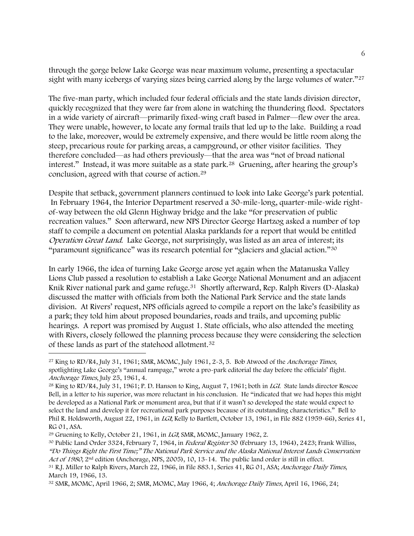through the gorge below Lake George was near maximum volume, presenting a spectacular sight with many icebergs of varying sizes being carried along by the large volumes of water."<sup>[27](#page-6-0)</sup>

The five-man party, which included four federal officials and the state lands division director, quickly recognized that they were far from alone in watching the thundering flood. Spectators in a wide variety of aircraft—primarily fixed-wing craft based in Palmer—flew over the area. They were unable, however, to locate any formal trails that led up to the lake. Building a road to the lake, moreover, would be extremely expensive, and there would be little room along the steep, precarious route for parking areas, a campground, or other visitor facilities. They therefore concluded—as had others previously—that the area was "not of broad national interest." Instead, it was more suitable as a state park.[28](#page-6-1) Gruening, after hearing the group's conclusion, agreed with that course of action.[29](#page-6-2)

Despite that setback, government planners continued to look into Lake George's park potential. In February 1964, the Interior Department reserved a 30-mile-long, quarter-mile-wide rightof-way between the old Glenn Highway bridge and the lake "for preservation of public recreation values." Soon afterward, new NPS Director George Hartzog asked a number of top staff to compile a document on potential Alaska parklands for a report that would be entitled Operation Great Land. Lake George, not surprisingly, was listed as an area of interest; its "paramount significance" was its research potential for "glaciers and glacial action."[30](#page-6-3)

In early 1966, the idea of turning Lake George arose yet again when the Matanuska Valley Lions Club passed a resolution to establish a Lake George National Monument and an adjacent Knik River national park and game refuge.<sup>[31](#page-6-4)</sup> Shortly afterward, Rep. Ralph Rivers (D-Alaska) discussed the matter with officials from both the National Park Service and the state lands division. At Rivers' request, NPS officials agreed to compile a report on the lake's feasibility as a park; they told him about proposed boundaries, roads and trails, and upcoming public hearings. A report was promised by August 1. State officials, who also attended the meeting with Rivers, closely followed the planning process because they were considering the selection of these lands as part of the statehood allotment.[32](#page-6-5)

<span id="page-6-0"></span> $27$  King to RD/R4, July 31, 1961; SMR, MOMC, July 1961, 2-3, 5. Bob Atwood of the Anchorage Times, spotlighting Lake George's "annual rampage," wrote a pro-park editorial the day before the officials' flight. Anchorage Times, July 25, 1961, 4.

<span id="page-6-1"></span><sup>&</sup>lt;sup>28</sup> King to RD/R4, July 31, 1961; P. D. Hanson to King, August 7, 1961; both in *LGI*. State lands director Roscoe Bell, in a letter to his superior, was more reluctant in his conclusion. He "indicated that we had hopes this might be developed as a National Park or monument area, but that if it wasn't so developed the state would expect to select the land and develop it for recreational park purposes because of its outstanding characteristics." Bell to Phil R. Holdsworth, August 22, 1961, in LGI; Kelly to Bartlett, October 13, 1961, in File 882 (1959-66), Series 41, RG 01, ASA.

<span id="page-6-3"></span><span id="page-6-2"></span><sup>&</sup>lt;sup>29</sup> Gruening to Kelly, October 21, 1961, in *LGI*; SMR, MOMC, January 1962, 2.<br><sup>30</sup> Public Land Order 3324, February 7, 1964, in *Federal Register* 30 (February 13, 1964), 2423; Frank Williss, "Do Things Right the First Time;" The National Park Service and the Alaska National Interest Lands Conservation Act of 1980, 2<sup>nd</sup> edition (Anchorage, NPS, 2005), 10, 13-14. The public land order is still in effect.<br><sup>31</sup> R.J. Miller to Ralph Rivers, March 22, 1966, in File 883.1, Series 41, RG 01, ASA; *Anchorage Daily Times*,

<span id="page-6-4"></span>March 19, 1966, 13.

<span id="page-6-5"></span><sup>32</sup> SMR, MOMC, April 1966, 2; SMR, MOMC, May 1966, 4; Anchorage Daily Times, April 16, 1966, 24;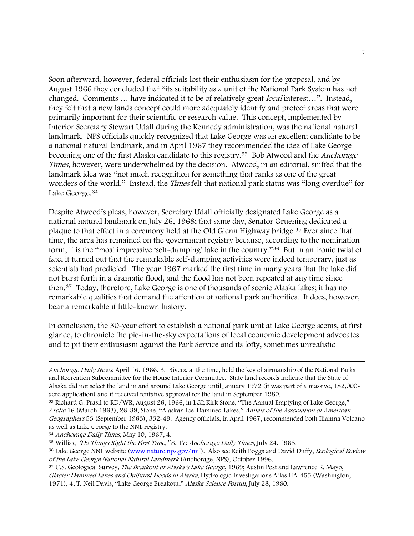Soon afterward, however, federal officials lost their enthusiasm for the proposal, and by August 1966 they concluded that "its suitability as a unit of the National Park System has not changed. Comments ... have indicated it to be of relatively great *local* interest...". Instead, they felt that a new lands concept could more adequately identify and protect areas that were primarily important for their scientific or research value. This concept, implemented by Interior Secretary Stewart Udall during the Kennedy administration, was the national natural landmark. NPS officials quickly recognized that Lake George was an excellent candidate to be a national natural landmark, and in April 1967 they recommended the idea of Lake George becoming one of the first Alaska candidate to this registry.<sup>33</sup> Bob Atwood and the *Anchorage* Times, however, were underwhelmed by the decision. Atwood, in an editorial, sniffed that the landmark idea was "not much recognition for something that ranks as one of the great wonders of the world." Instead, the Times felt that national park status was "long overdue" for Lake George.[34](#page-7-1)

Despite Atwood's pleas, however, Secretary Udall officially designated Lake George as a national natural landmark on July 26, 1968; that same day, Senator Gruening dedicated a plaque to that effect in a ceremony held at the Old Glenn Highway bridge.[35](#page-7-2) Ever since that time, the area has remained on the government registry because, according to the nomination form, it is the "most impressive 'self-dumping' lake in the country."[36](#page-7-3) But in an ironic twist of fate, it turned out that the remarkable self-dumping activities were indeed temporary, just as scientists had predicted. The year 1967 marked the first time in many years that the lake did not burst forth in a dramatic flood, and the flood has not been repeated at any time since then.[37](#page-7-4) Today, therefore, Lake George is one of thousands of scenic Alaska lakes; it has no remarkable qualities that demand the attention of national park authorities. It does, however, bear a remarkable if little-known history.

In conclusion, the 30-year effort to establish a national park unit at Lake George seems, at first glance, to chronicle the pie-in-the-sky expectations of local economic development advocates and to pit their enthusiasm against the Park Service and its lofty, sometimes unrealistic

Anchorage Daily News, April 16, 1966, 3. Rivers, at the time, held the key chairmanship of the National Parks and Recreation Subcommittee for the House Interior Committee. State land records indicate that the State of Alaska did not select the land in and around Lake George until January 1972 (it was part of a massive, 182,000 acre application) and it received tentative approval for the land in September 1980.

<span id="page-7-0"></span><sup>33</sup> Richard G. Prasil to RD/WR, August 26, 1966, in LGI; Kirk Stone, "The Annual Emptying of Lake George," Arctic 16 (March 1963), 26-39; Stone, "Alaskan Ice-Dammed Lakes," Annals of the Association of American Geographers 53 (September 1963), 332-49. Agency officials, in April 1967, recommended both Iliamna Volcano as well as Lake George to the NNL registry.

<span id="page-7-3"></span>

<span id="page-7-2"></span><span id="page-7-1"></span><sup>&</sup>lt;sup>34</sup> Anchorage Daily Times, May 10, 1967, 4.<br><sup>35</sup> Williss, *"Do Things Right the First Time,"* 8, 17; Anchorage Daily Times, July 24, 1968.<br><sup>36</sup> Lake George NNL website [\(www.nature.nps.gov/nnl](http://www.nature.nps.gov/nnl)). Also see Keith Boggs and Da of the Lake George National Natural Landmark (Anchorage, NPS), October 1996.<br><sup>37</sup> U.S. Geological Survey, *The Breakout of Alaska's Lake George*, 1969; Austin Post and Lawrence R. Mayo,

<span id="page-7-4"></span>Glacier Dammed Lakes and Outburst Floods in Alaska, Hydrologic Investigations Atlas HA-455 (Washington, 1971), 4; T. Neil Davis, "Lake George Breakout," Alaska Science Forum, July 28, 1980.